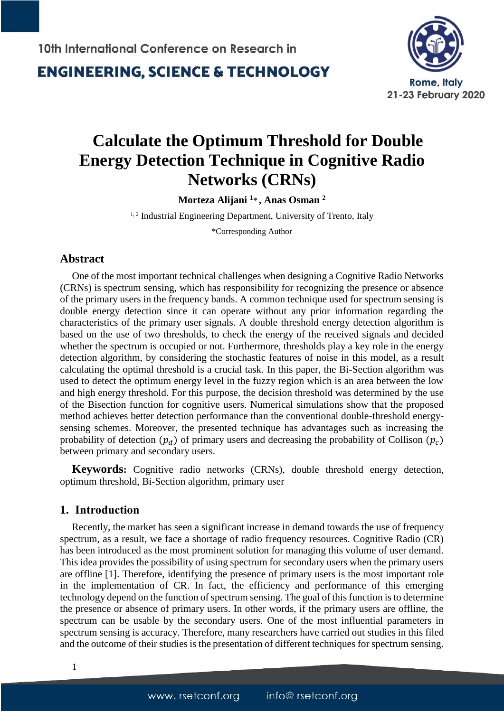

## **Calculate the Optimum Threshold for Double Energy Detection Technique in Cognitive Radio Networks (CRNs)**

**Morteza Alijani <sup>1</sup>** \* **, Anas Osman <sup>2</sup>**

<sup>1, 2</sup> Industrial Engineering Department, University of Trento, Italy

\*Corresponding Author

#### **Abstract**

One of the most important technical challenges when designing a Cognitive Radio Networks (CRNs) is spectrum sensing, which has responsibility for recognizing the presence or absence of the primary users in the frequency bands. A common technique used for spectrum sensing is double energy detection since it can operate without any prior information regarding the characteristics of the primary user signals. A double threshold energy detection algorithm is based on the use of two thresholds, to check the energy of the received signals and decided whether the spectrum is occupied or not. Furthermore, thresholds play a key role in the energy detection algorithm, by considering the stochastic features of noise in this model, as a result calculating the optimal threshold is a crucial task. In this paper, the Bi-Section algorithm was used to detect the optimum energy level in the fuzzy region which is an area between the low and high energy threshold. For this purpose, the decision threshold was determined by the use of the Bisection function for cognitive users. Numerical simulations show that the proposed method achieves better detection performance than the conventional double-threshold energysensing schemes. Moreover, the presented technique has advantages such as increasing the probability of detection  $(p_d)$  of primary users and decreasing the probability of Collison  $(p_c)$ between primary and secondary users.

**Keywords:** Cognitive radio networks (CRNs), double threshold energy detection, optimum threshold, Bi-Section algorithm, primary user

#### **1. Introduction**

Recently, the market has seen a significant increase in demand towards the use of frequency spectrum, as a result, we face a shortage of radio frequency resources. Cognitive Radio (CR) has been introduced as the most prominent solution for managing this volume of user demand. This idea provides the possibility of using spectrum for secondary users when the primary users are offline [1]. Therefore, identifying the presence of primary users is the most important role in the implementation of CR. In fact, the efficiency and performance of this emerging technology depend on the function of spectrum sensing. The goal of this function is to determine the presence or absence of primary users. In other words, if the primary users are offline, the spectrum can be usable by the secondary users. One of the most influential parameters in spectrum sensing is accuracy. Therefore, many researchers have carried out studies in this filed and the outcome of their studies is the presentation of different techniques for spectrum sensing.

1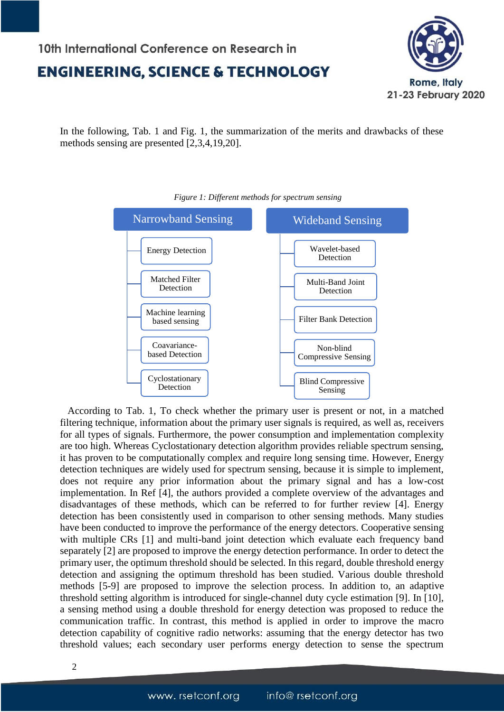# 10th International Conference on Research in



## **ENGINEERING, SCIENCE & TECHNOLOGY**

In the following, Tab. 1 and Fig. 1, the summarization of the merits and drawbacks of these methods sensing are presented [2,3,4,19,20].



#### *Figure 1: Different methods for spectrum sensing*

 According to Tab. 1, To check whether the primary user is present or not, in a matched filtering technique, information about the primary user signals is required, as well as, receivers for all types of signals. Furthermore, the power consumption and implementation complexity are too high. Whereas Cyclostationary detection algorithm provides reliable spectrum sensing, it has proven to be computationally complex and require long sensing time. However, Energy detection techniques are widely used for spectrum sensing, because it is simple to implement, does not require any prior information about the primary signal and has a low-cost implementation. In Ref [4], the authors provided a complete overview of the advantages and disadvantages of these methods, which can be referred to for further review [4]. Energy detection has been consistently used in comparison to other sensing methods. Many studies have been conducted to improve the performance of the energy detectors. Cooperative sensing with multiple CRs [1] and multi-band joint detection which evaluate each frequency band separately [2] are proposed to improve the energy detection performance. In order to detect the primary user, the optimum threshold should be selected. In this regard, double threshold energy detection and assigning the optimum threshold has been studied. Various double threshold methods [5-9] are proposed to improve the selection process. In addition to, an adaptive threshold setting algorithm is introduced for single-channel duty cycle estimation [9]. In [10], a sensing method using a double threshold for energy detection was proposed to reduce the communication traffic. In contrast, this method is applied in order to improve the macro detection capability of cognitive radio networks: assuming that the energy detector has two threshold values; each secondary user performs energy detection to sense the spectrum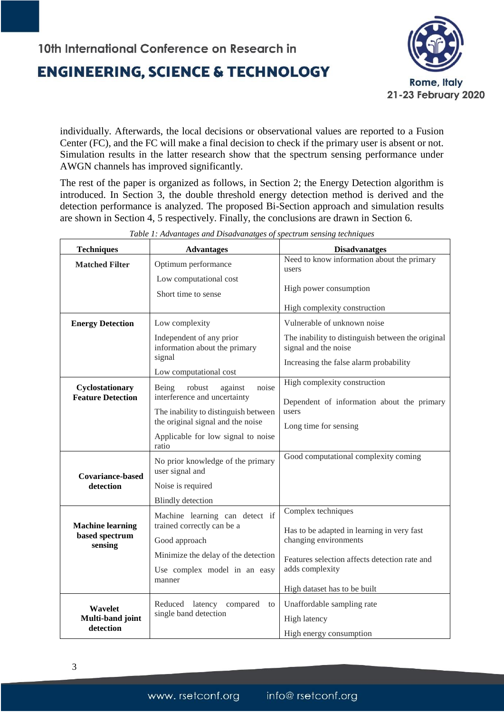

individually. Afterwards, the local decisions or observational values are reported to a Fusion Center (FC), and the FC will make a final decision to check if the primary user is absent or not. Simulation results in the latter research show that the spectrum sensing performance under AWGN channels has improved significantly.

The rest of the paper is organized as follows, in Section 2; the Energy Detection algorithm is introduced. In Section 3, the double threshold energy detection method is derived and the detection performance is analyzed. The proposed Bi-Section approach and simulation results are shown in Section 4, 5 respectively. Finally, the conclusions are drawn in Section 6.

| <b>Techniques</b>         | <b>Advantages</b>                                                         | <b>Disadvanatges</b>                                                      |  |  |
|---------------------------|---------------------------------------------------------------------------|---------------------------------------------------------------------------|--|--|
| <b>Matched Filter</b>     | Optimum performance                                                       | Need to know information about the primary<br>users                       |  |  |
|                           | Low computational cost                                                    |                                                                           |  |  |
|                           | Short time to sense                                                       | High power consumption                                                    |  |  |
|                           |                                                                           | High complexity construction                                              |  |  |
| <b>Energy Detection</b>   | Low complexity                                                            | Vulnerable of unknown noise                                               |  |  |
|                           | Independent of any prior<br>information about the primary                 | The inability to distinguish between the original<br>signal and the noise |  |  |
|                           | signal                                                                    | Increasing the false alarm probability                                    |  |  |
|                           | Low computational cost                                                    |                                                                           |  |  |
| Cyclostationary           | Being<br>noise<br>robust<br>against                                       | High complexity construction                                              |  |  |
| <b>Feature Detection</b>  | interference and uncertainty                                              | Dependent of information about the primary                                |  |  |
|                           | The inability to distinguish between<br>the original signal and the noise | users                                                                     |  |  |
|                           |                                                                           | Long time for sensing                                                     |  |  |
|                           | Applicable for low signal to noise<br>ratio                               |                                                                           |  |  |
| <b>Covariance-based</b>   | No prior knowledge of the primary<br>user signal and                      | Good computational complexity coming                                      |  |  |
| detection                 | Noise is required                                                         |                                                                           |  |  |
|                           | <b>Blindly</b> detection                                                  |                                                                           |  |  |
|                           | Machine learning can detect if                                            | Complex techniques                                                        |  |  |
| <b>Machine learning</b>   | trained correctly can be a                                                | Has to be adapted in learning in very fast                                |  |  |
| based spectrum<br>sensing | Good approach                                                             | changing environments                                                     |  |  |
|                           | Minimize the delay of the detection                                       | Features selection affects detection rate and                             |  |  |
|                           | Use complex model in an easy                                              | adds complexity                                                           |  |  |
|                           | manner                                                                    | High dataset has to be built                                              |  |  |
| Wavelet                   | Reduced latency compared<br>to                                            | Unaffordable sampling rate                                                |  |  |
| Multi-band joint          | single band detection                                                     | High latency                                                              |  |  |
| detection                 |                                                                           | High energy consumption                                                   |  |  |

*Table 1: Advantages and Disadvanatges of spectrum sensing techniques*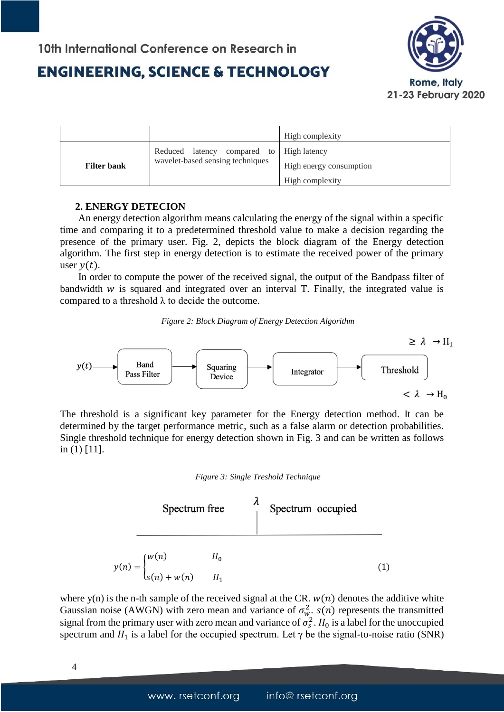

|                    |                                                                                | High complexity         |
|--------------------|--------------------------------------------------------------------------------|-------------------------|
| <b>Filter bank</b> | Reduced latency compared to   High latency<br>wavelet-based sensing techniques |                         |
|                    |                                                                                | High energy consumption |
|                    |                                                                                | High complexity         |

#### **2. ENERGY DETECION**

An energy detection algorithm means calculating the energy of the signal within a specific time and comparing it to a predetermined threshold value to make a decision regarding the presence of the primary user. Fig. 2, depicts the block diagram of the Energy detection algorithm. The first step in energy detection is to estimate the received power of the primary user  $v(t)$ .

In order to compute the power of the received signal, the output of the Bandpass filter of bandwidth  $w$  is squared and integrated over an interval  $T$ . Finally, the integrated value is compared to a threshold  $\lambda$  to decide the outcome.

*Figure 2: Block Diagram of Energy Detection Algorithm*



The threshold is a significant key parameter for the Energy detection method. It can be determined by the target performance metric, such as a false alarm or detection probabilities. Single threshold technique for energy detection shown in Fig. 3 and can be written as follows in (1) [11].





where y(n) is the n-th sample of the received signal at the CR.  $w(n)$  denotes the additive white Gaussian noise (AWGN) with zero mean and variance of  $\sigma_w^2$ .  $s(n)$  represents the transmitted signal from the primary user with zero mean and variance of  $\sigma_s^2$ .  $H_0$  is a label for the unoccupied spectrum and  $H_1$  is a label for the occupied spectrum. Let  $\gamma$  be the signal-to-noise ratio (SNR)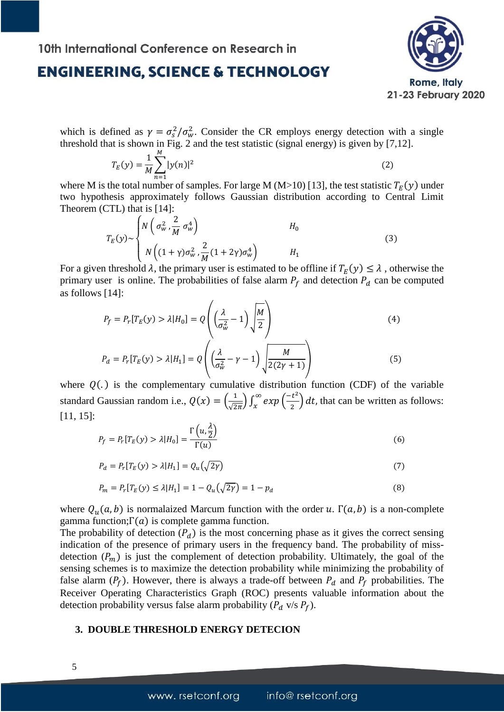

which is defined as  $\gamma = \sigma_s^2 / \sigma_w^2$ . Consider the CR employs energy detection with a single threshold that is shown in Fig. 2 and the test statistic (signal energy) is given by [7,12].

$$
T_E(y) = \frac{1}{M} \sum_{n=1}^{M} |y(n)|^2
$$
 (2)

where M is the total number of samples. For large M (M>10) [13], the test statistic  $T_E(y)$  under two hypothesis approximately follows Gaussian distribution according to Central Limit Theorem (CTL) that is [14]:

$$
T_E(y) \sim \begin{cases} N\left(\sigma_w^2, \frac{2}{M}\sigma_w^4\right) & H_0\\ N\left((1+\gamma)\sigma_w^2, \frac{2}{M}(1+2\gamma)\sigma_w^4\right) & H_1 \end{cases}
$$
(3)

For a given threshold  $\lambda$ , the primary user is estimated to be offline if  $T_E(y) \leq \lambda$ , otherwise the primary user is online. The probabilities of false alarm  $P_f$  and detection  $P_d$  can be computed as follows [14]:

$$
P_f = P_r[T_E(y) > \lambda | H_0] = Q\left(\left(\frac{\lambda}{\sigma_w^2} - 1\right) \sqrt{\frac{M}{2}}\right)
$$
\n
$$
\left(\frac{\lambda}{\sigma_w^2} - 1\right) \sqrt{\frac{M}{2}}
$$
\n
$$
\left(\frac{\lambda}{\sigma_w^2} - 1\right) \sqrt{\frac{M}{2}}
$$
\n
$$
\left(\frac{\lambda}{\sigma_w^2} - 1\right) \sqrt{\frac{M}{2}}
$$
\n
$$
\left(\frac{\lambda}{\sigma_w^2} - 1\right) \sqrt{\frac{M}{2}}
$$
\n
$$
\left(\frac{\lambda}{\sigma_w^2} - 1\right) \sqrt{\frac{M}{2}}
$$
\n
$$
\left(\frac{\lambda}{\sigma_w^2} - 1\right) \sqrt{\frac{M}{2}}
$$
\n
$$
\left(\frac{\lambda}{\sigma_w^2} - 1\right) \sqrt{\frac{M}{2}}
$$
\n
$$
\left(\frac{\lambda}{\sigma_w^2} - 1\right) \sqrt{\frac{M}{2}}
$$
\n
$$
\left(\frac{\lambda}{\sigma_w^2} - 1\right) \sqrt{\frac{M}{2}}
$$
\n
$$
\left(\frac{\lambda}{\sigma_w^2} - 1\right) \sqrt{\frac{M}{2}}
$$
\n
$$
\left(\frac{\lambda}{\sigma_w^2} - 1\right) \sqrt{\frac{M}{2}}
$$
\n
$$
\left(\frac{\lambda}{\sigma_w^2} - 1\right) \sqrt{\frac{M}{2}}
$$
\n
$$
\left(\frac{\lambda}{\sigma_w^2} - 1\right) \sqrt{\frac{M}{2}}
$$
\n
$$
\left(\frac{\lambda}{\sigma_w^2} - 1\right) \sqrt{\frac{M}{2}}
$$
\n
$$
\left(\frac{\lambda}{\sigma_w^2} - 1\right) \sqrt{\frac{M}{2}}
$$
\n
$$
\left(\frac{\lambda}{\sigma_w^2} - 1\right) \sqrt{\frac{M}{2}}
$$
\n
$$
\left(\frac{\lambda}{\sigma_w^2} - 1\right) \sqrt{\frac{M}{2}}
$$
\n
$$
\left(\frac{\lambda}{\sigma_w^2} - 1\right) \sqrt{\frac{M}{2}}
$$
\n
$$
\left(\frac{\lambda}{\sigma_w^2} - 1\right) \sqrt{\frac{M}{2}}
$$
\n
$$
\left(\frac{\lambda}{\sigma_w^2} -
$$

$$
P_d = P_r[T_E(y) > \lambda | H_1] = Q\left(\left(\frac{\lambda}{\sigma_w^2} - \gamma - 1\right) \sqrt{\frac{M}{2(2\gamma + 1)}}\right)
$$
\n<sup>(5)</sup>

where  $Q(.)$  is the complementary cumulative distribution function (CDF) of the variable standard Gaussian random i.e.,  $Q(x) = \left(\frac{1}{\sqrt{2}}\right)$  $\frac{1}{\sqrt{2\pi}}\big)\int_{x}^{\infty}exp$  $\int_{x}^{\infty} exp\left(\frac{-t^2}{2}\right)$  $\frac{1}{2}$  dt, that can be written as follows: [11, 15]:

$$
P_f = P_r[T_E(y) > \lambda | H_0] = \frac{\Gamma\left(u, \frac{\lambda}{2}\right)}{\Gamma(u)}
$$
\n<sup>(6)</sup>

$$
P_d = P_r[T_E(y) > \lambda | H_1] = Q_u(\sqrt{2\gamma})
$$
\n<sup>(7)</sup>

$$
P_m = P_r[T_E(y) \le \lambda | H_1] = 1 - Q_u(\sqrt{2\gamma}) = 1 - p_d \tag{8}
$$

where  $Q_u(a, b)$  is normalaized Marcum function with the order u.  $\Gamma(a, b)$  is a non-complete gamma function;  $Γ(a)$  is complete gamma function.

The probability of detection  $(P_d)$  is the most concerning phase as it gives the correct sensing indication of the presence of primary users in the frequency band. The probability of missdetection  $(P_m)$  is just the complement of detection probability. Ultimately, the goal of the sensing schemes is to maximize the detection probability while minimizing the probability of false alarm  $(P_f)$ . However, there is always a trade-off between  $P_d$  and  $P_f$  probabilities. The Receiver Operating Characteristics Graph (ROC) presents valuable information about the detection probability versus false alarm probability  $(P_d \text{ v/s } P_f)$ .

#### **3. DOUBLE THRESHOLD ENERGY DETECION**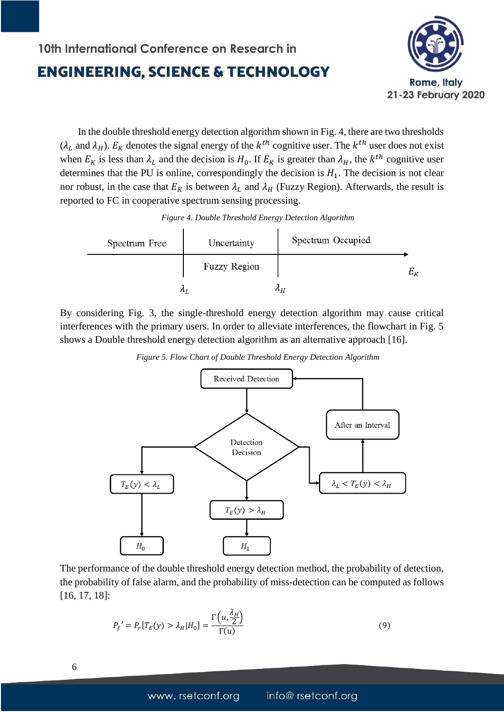## 10th International Conference on Research in **ENGINEERING, SCIENCE & TECHNOLOGY**



 In the double threshold energy detection algorithm shown in Fig. 4, there are two thresholds  $(\lambda_L$  and  $\lambda_H$ ).  $E_K$  denotes the signal energy of the  $k^{th}$  cognitive user. The  $k^{th}$  user does not exist when  $E_K$  is less than  $\lambda_L$  and the decision is  $H_0$ . If  $E_K$  is greater than  $\lambda_H$ , the  $k^{th}$  cognitive user determines that the PU is online, correspondingly the decision is  $H_1$ . The decision is not clear nor robust, in the case that  $E_K$  is between  $\lambda_L$  and  $\lambda_H$  (Fuzzy Region). Afterwards, the result is reported to FC in cooperative spectrum sensing processing.

| Figure 4. Double Threshold Energy Detection Algorithm |  |  |  |  |  |
|-------------------------------------------------------|--|--|--|--|--|
|-------------------------------------------------------|--|--|--|--|--|

| Spectrum Free | Uncertainty  | Spectrum Occupied |
|---------------|--------------|-------------------|
|               | Fuzzy Region | $E_K\,$           |
|               |              | $\Lambda$         |

By considering Fig. 3, the single-threshold energy detection algorithm may cause critical interferences with the primary users. In order to alleviate interferences, the flowchart in Fig. 5 shows a Double threshold energy detection algorithm as an alternative approach [16].

*Figure 5. Flow Chart of Double Threshold Energy Detection Algorithm*



The performance of the double threshold energy detection method, the probability of detection, the probability of false alarm, and the probability of miss-detection can be computed as follows [16, 17, 18]:

$$
P_f' = P_r[T_E(y) > \lambda_H | H_0] = \frac{\Gamma\left(u, \frac{\lambda_H}{2}\right)}{\Gamma(u)}
$$
\n(9)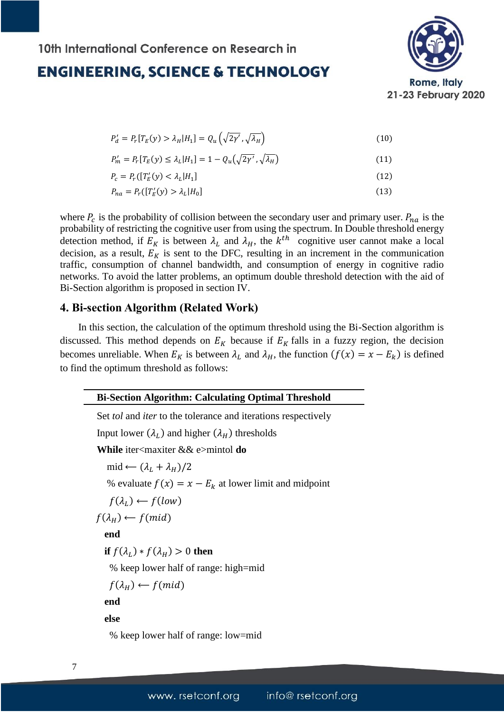

$$
P'_d = P_r[T_E(y) > \lambda_H | H_1] = Q_u\left(\sqrt{2\gamma'}, \sqrt{\lambda_H}\right)
$$
\n(10)

$$
P'_m = P_r[T_E(y) \le \lambda_L | H_1] = 1 - Q_u(\sqrt{2\gamma'}, \sqrt{\lambda_H})
$$
\n(11)

$$
P_c = P_r([T'_E(y) < \lambda_L | H_1] \tag{12}
$$

$$
P_{na} = P_r([T'_E(y) > \lambda_L | H_0]
$$
\n
$$
(13)
$$

where  $P_c$  is the probability of collision between the secondary user and primary user.  $P_{na}$  is the probability of restricting the cognitive user from using the spectrum. In Double threshold energy detection method, if  $E_K$  is between  $\lambda_L$  and  $\lambda_H$ , the  $k^{th}$  cognitive user cannot make a local decision, as a result,  $E_K$  is sent to the DFC, resulting in an increment in the communication traffic, consumption of channel bandwidth, and consumption of energy in cognitive radio networks. To avoid the latter problems, an optimum double threshold detection with the aid of Bi-Section algorithm is proposed in section IV.

#### **4. Bi-section Algorithm (Related Work)**

In this section, the calculation of the optimum threshold using the Bi-Section algorithm is discussed. This method depends on  $E_K$  because if  $E_K$  falls in a fuzzy region, the decision becomes unreliable. When  $E_K$  is between  $\lambda_L$  and  $\lambda_H$ , the function  $(f(x) = x - E_k)$  is defined to find the optimum threshold as follows:

| <b>Bi-Section Algorithm: Calculating Optimal Threshold</b>                      |
|---------------------------------------------------------------------------------|
| Set <i>tol</i> and <i>iter</i> to the tolerance and iterations respectively     |
| Input lower $(\lambda_L)$ and higher $(\lambda_H)$ thresholds                   |
| <b>While</b> iter <maxiter <math="">\&amp;&amp; e&gt;mintol <b>do</b></maxiter> |
| $mid \leftarrow (\lambda_L + \lambda_H)/2$                                      |
| % evaluate $f(x) = x - E_k$ at lower limit and midpoint                         |
| $f(\lambda_I) \leftarrow f(low)$                                                |
| $f(\lambda_H) \leftarrow f(mid)$                                                |
| end                                                                             |
| if $f(\lambda_I) * f(\lambda_H) > 0$ then                                       |
| % keep lower half of range: high=mid                                            |
| $f(\lambda_H) \leftarrow f(mid)$                                                |
| end                                                                             |
| else                                                                            |
| % keep lower half of range: low=mid                                             |

7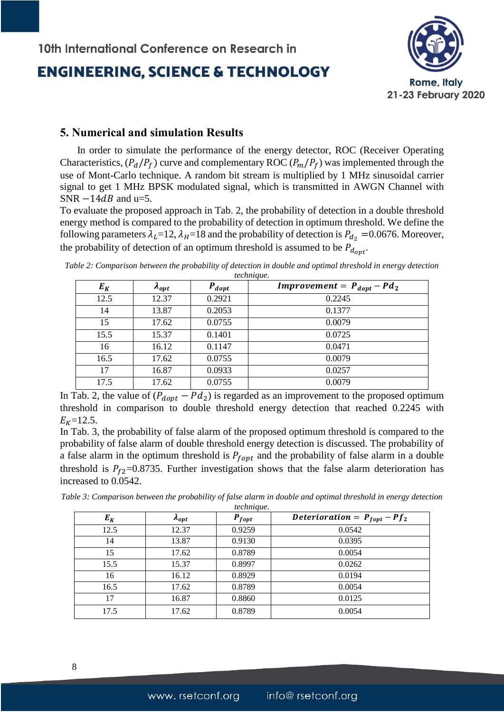

#### **5. Numerical and simulation Results**

 In order to simulate the performance of the energy detector, ROC (Receiver Operating Characteristics,  $(P_d/P_f)$  curve and complementary ROC  $(P_m/P_f)$  was implemented through the use of Mont-Carlo technique. A random bit stream is multiplied by 1 MHz sinusoidal carrier signal to get 1 MHz BPSK modulated signal, which is transmitted in AWGN Channel with SNR  $-14dB$  and u=5.

To evaluate the proposed approach in Tab. 2, the probability of detection in a double threshold energy method is compared to the probability of detection in optimum threshold. We define the following parameters  $\lambda_L$ =12,  $\lambda_H$ =18 and the probability of detection is  $P_{d_2}$  =0.0676. Moreover, the probability of detection of an optimum threshold is assumed to be  $P_{d_{opt}}$ .

*Table 2: Comparison between the probability of detection in double and optimal threshold in energy detection technique.*

| $E_K$ | $A_{opt}$ | $P_{dopt}$ | <i>Improvement</i> = $P_{dopt} - P d_2$ |
|-------|-----------|------------|-----------------------------------------|
| 12.5  | 12.37     | 0.2921     | 0.2245                                  |
| 14    | 13.87     | 0.2053     | 0.1377                                  |
| 15    | 17.62     | 0.0755     | 0.0079                                  |
| 15.5  | 15.37     | 0.1401     | 0.0725                                  |
| 16    | 16.12     | 0.1147     | 0.0471                                  |
| 16.5  | 17.62     | 0.0755     | 0.0079                                  |
| 17    | 16.87     | 0.0933     | 0.0257                                  |
| 17.5  | 17.62     | 0.0755     | 0.0079                                  |

In Tab. 2, the value of  $(P_{dopt} - Pd_2)$  is regarded as an improvement to the proposed optimum threshold in comparison to double threshold energy detection that reached 0.2245 with  $E_K = 12.5$ .

In Tab. 3, the probability of false alarm of the proposed optimum threshold is compared to the probability of false alarm of double threshold energy detection is discussed. The probability of a false alarm in the optimum threshold is  $P_{fopt}$  and the probability of false alarm in a double threshold is  $P_{f2}$ =0.8735. Further investigation shows that the false alarm deterioration has increased to 0.0542.

*Table 3: Comparison between the probability of false alarm in double and optimal threshold in energy detection technique.*

| $E_K$ | $A_{opt}$ | $P_{fopt}$ | Deterioration = $P_{fopt} - Pf_2$ |
|-------|-----------|------------|-----------------------------------|
| 12.5  | 12.37     | 0.9259     | 0.0542                            |
| 14    | 13.87     | 0.9130     | 0.0395                            |
| 15    | 17.62     | 0.8789     | 0.0054                            |
| 15.5  | 15.37     | 0.8997     | 0.0262                            |
| 16    | 16.12     | 0.8929     | 0.0194                            |
| 16.5  | 17.62     | 0.8789     | 0.0054                            |
| 17    | 16.87     | 0.8860     | 0.0125                            |
| 17.5  | 17.62     | 0.8789     | 0.0054                            |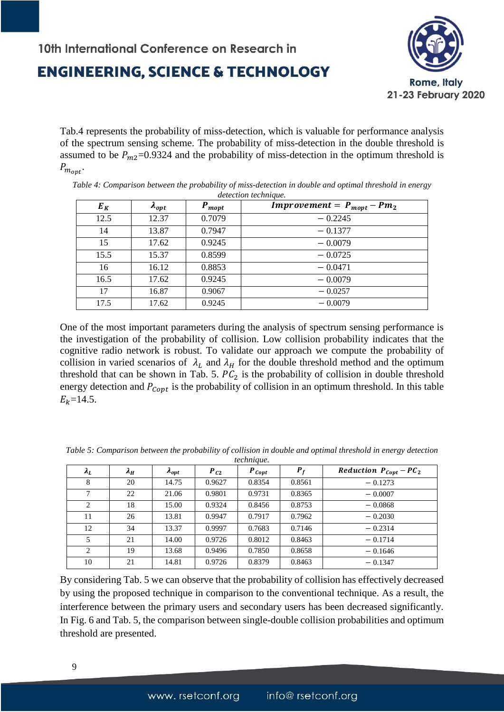

Tab.4 represents the probability of miss-detection, which is valuable for performance analysis of the spectrum sensing scheme. The probability of miss-detection in the double threshold is assumed to be  $P_{m2}$ =0.9324 and the probability of miss-detection in the optimum threshold is  $P_{m_{opt}}$ .

| $E_K$ | $\boldsymbol{\Lambda_{opt}}$ | $P_{mopt}$ | <i>Improvement</i> = $P_{mopt} - P m_2$ |
|-------|------------------------------|------------|-----------------------------------------|
| 12.5  | 12.37                        | 0.7079     | $-0.2245$                               |
| 14    | 13.87                        | 0.7947     | $-0.1377$                               |
| 15    | 17.62                        | 0.9245     | $-0.0079$                               |
| 15.5  | 15.37                        | 0.8599     | $-0.0725$                               |
| 16    | 16.12                        | 0.8853     | $-0.0471$                               |
| 16.5  | 17.62                        | 0.9245     | $-0.0079$                               |
| 17    | 16.87                        | 0.9067     | $-0.0257$                               |
| 17.5  | 17.62                        | 0.9245     | $-0.0079$                               |

*Table 4: Comparison between the probability of miss-detection in double and optimal threshold in energy detection technique.*

One of the most important parameters during the analysis of spectrum sensing performance is the investigation of the probability of collision. Low collision probability indicates that the cognitive radio network is robust. To validate our approach we compute the probability of collision in varied scenarios of  $\lambda_L$  and  $\lambda_H$  for the double threshold method and the optimum threshold that can be shown in Tab. 5.  $PC<sub>2</sub>$  is the probability of collision in double threshold energy detection and  $P_{\text{Cont}}$  is the probability of collision in an optimum threshold. In this table  $E_k = 14.5$ .

|             |             |                 |          | <i>iccludition</i> . |        |                                    |
|-------------|-------------|-----------------|----------|----------------------|--------|------------------------------------|
| $\lambda_L$ | $\lambda_H$ | $\lambda_{opt}$ | $P_{C2}$ | $P_{Copt}$           | $P_f$  | Reduction $P_{\text{Copt}} - PC_2$ |
| 8           | 20          | 14.75           | 0.9627   | 0.8354               | 0.8561 | $-0.1273$                          |
| 7           | 22          | 21.06           | 0.9801   | 0.9731               | 0.8365 | $-0.0007$                          |
| 2           | 18          | 15.00           | 0.9324   | 0.8456               | 0.8753 | $-0.0868$                          |
| 11          | 26          | 13.81           | 0.9947   | 0.7917               | 0.7962 | $-0.2030$                          |
| 12          | 34          | 13.37           | 0.9997   | 0.7683               | 0.7146 | $-0.2314$                          |
| 5           | 21          | 14.00           | 0.9726   | 0.8012               | 0.8463 | $-0.1714$                          |
| 2           | 19          | 13.68           | 0.9496   | 0.7850               | 0.8658 | $-0.1646$                          |
| 10          | 21          | 14.81           | 0.9726   | 0.8379               | 0.8463 | $-0.1347$                          |

*Table 5: Comparison between the probability of collision in double and optimal threshold in energy detection technique.*

By considering Tab. 5 we can observe that the probability of collision has effectively decreased by using the proposed technique in comparison to the conventional technique. As a result, the interference between the primary users and secondary users has been decreased significantly. In Fig. 6 and Tab. 5, the comparison between single-double collision probabilities and optimum threshold are presented.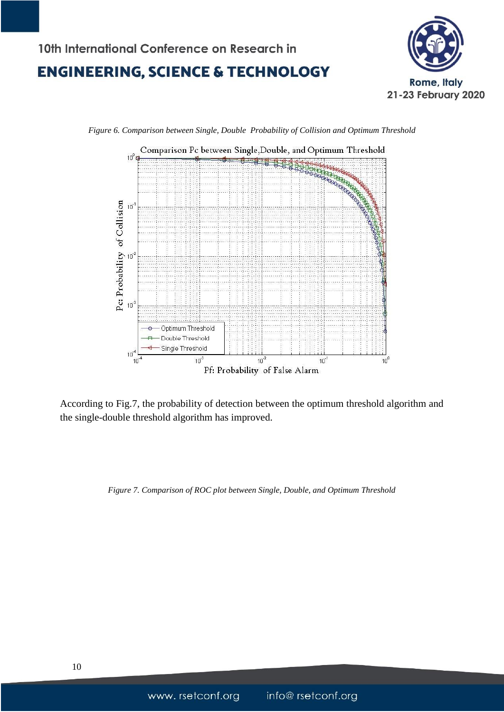## 10th International Conference on Research in **ENGINEERING, SCIENCE & TECHNOLOGY**





*Figure 6. Comparison between Single, Double Probability of Collision and Optimum Threshold*

According to Fig.7, the probability of detection between the optimum threshold algorithm and the single-double threshold algorithm has improved.

*Figure 7. Comparison of ROC plot between Single, Double, and Optimum Threshold*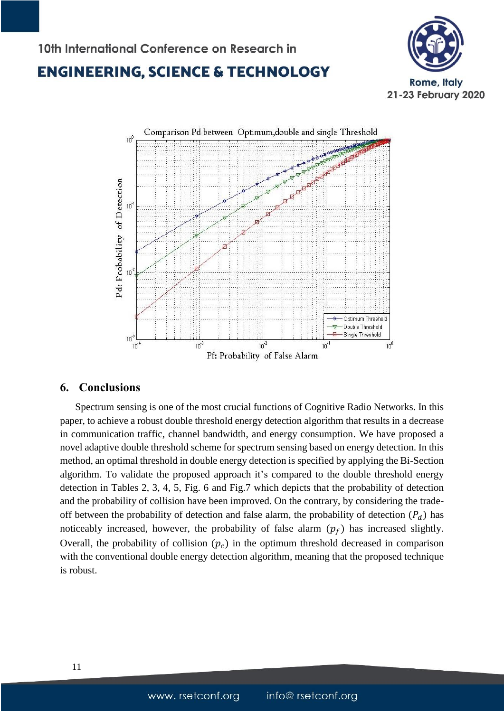10th International Conference on Research in





#### **6. Conclusions**

 Spectrum sensing is one of the most crucial functions of Cognitive Radio Networks. In this paper, to achieve a robust double threshold energy detection algorithm that results in a decrease in communication traffic, channel bandwidth, and energy consumption. We have proposed a novel adaptive double threshold scheme for spectrum sensing based on energy detection. In this method, an optimal threshold in double energy detection is specified by applying the Bi-Section algorithm. To validate the proposed approach it's compared to the double threshold energy detection in Tables 2, 3, 4, 5, Fig. 6 and Fig.7 which depicts that the probability of detection and the probability of collision have been improved. On the contrary, by considering the tradeoff between the probability of detection and false alarm, the probability of detection  $(P_d)$  has noticeably increased, however, the probability of false alarm  $(p_f)$  has increased slightly. Overall, the probability of collision  $(p<sub>c</sub>)$  in the optimum threshold decreased in comparison with the conventional double energy detection algorithm, meaning that the proposed technique is robust.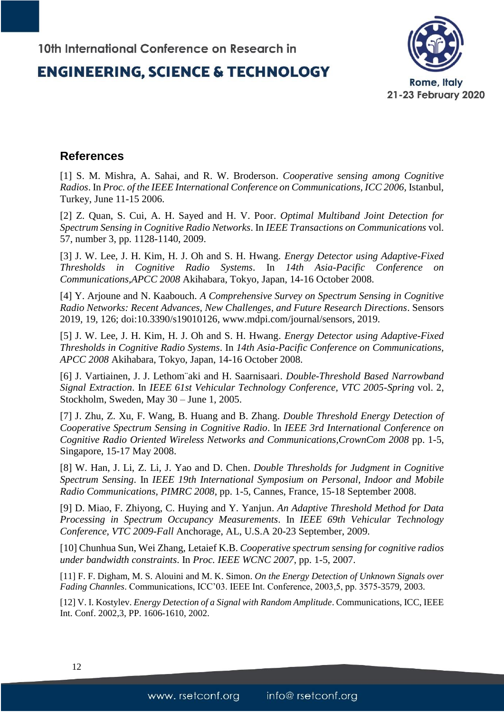

#### **References**

[1] S. M. Mishra, A. Sahai, and R. W. Broderson. *Cooperative sensing among Cognitive Radios*. In *Proc. of the IEEE International Conference on Communications, ICC 2006,* Istanbul, Turkey, June 11-15 2006.

[2] Z. Quan, S. Cui, A. H. Sayed and H. V. Poor. *Optimal Multiband Joint Detection for Spectrum Sensing in Cognitive Radio Networks*. In *IEEE Transactions on Communications* vol. 57, number 3, pp. 1128-1140, 2009.

[3] J. W. Lee, J. H. Kim, H. J. Oh and S. H. Hwang*. Energy Detector using Adaptive-Fixed Thresholds in Cognitive Radio Systems*. In *14th Asia-Pacific Conference on Communications,APCC 2008* Akihabara, Tokyo, Japan, 14-16 October 2008.

[4] Y. Arjoune and N. Kaabouch. *A Comprehensive Survey on Spectrum Sensing in Cognitive Radio Networks: Recent Advances, New Challenges, and Future Research Directions*. Sensors 2019, 19, 126; doi:10.3390/s19010126, [www.mdpi.com/journal/sensors,](http://www.mdpi.com/journal/sensors) 2019.

[5] J. W. Lee, J. H. Kim, H. J. Oh and S. H. Hwang. *Energy Detector using Adaptive-Fixed Thresholds in Cognitive Radio Systems*. In *14th Asia-Pacific Conference on Communications, APCC 2008* Akihabara, Tokyo, Japan, 14-16 October 2008.

[6] J. Vartiainen, J. J. Lethom¨aki and H. Saarnisaari. *Double-Threshold Based Narrowband Signal Extraction*. In *IEEE 61st Vehicular Technology Conference, VTC 2005-Spring* vol. 2, Stockholm, Sweden, May 30 – June 1, 2005.

[7] J. Zhu, Z. Xu, F. Wang, B. Huang and B. Zhang. *Double Threshold Energy Detection of Cooperative Spectrum Sensing in Cognitive Radio*. In *IEEE 3rd International Conference on Cognitive Radio Oriented Wireless Networks and Communications,CrownCom 2008* pp. 1-5, Singapore, 15-17 May 2008.

[8] W. Han, J. Li, Z. Li, J. Yao and D. Chen. *Double Thresholds for Judgment in Cognitive Spectrum Sensing*. In *IEEE 19th International Symposium on Personal, Indoor and Mobile Radio Communications, PIMRC 2008*, pp. 1-5, Cannes, France, 15-18 September 2008.

[9] D. Miao, F. Zhiyong, C. Huying and Y. Yanjun. *An Adaptive Threshold Method for Data Processing in Spectrum Occupancy Measurements*. In *IEEE 69th Vehicular Technology Conference, VTC 2009-Fall* Anchorage, AL, U.S.A 20-23 September, 2009.

[10] Chunhua Sun, Wei Zhang, Letaief K.B. *Cooperative spectrum sensing for cognitive radios under bandwidth constraints*. In *Proc. IEEE WCNC 2007*, pp. 1-5, 2007.

[11] F. F. Digham, M. S. Alouini and M. K. Simon. *On the Energy Detection of Unknown Signals over Fading Channles*. Communications, ICC'03. IEEE Int. Conference, 2003,5, pp. 3575-3579, 2003.

[12] V. I. Kostylev. *Energy Detection of a Signal with Random Amplitude*. Communications, ICC, IEEE Int. Conf. 2002,3, PP. 1606-1610, 2002.